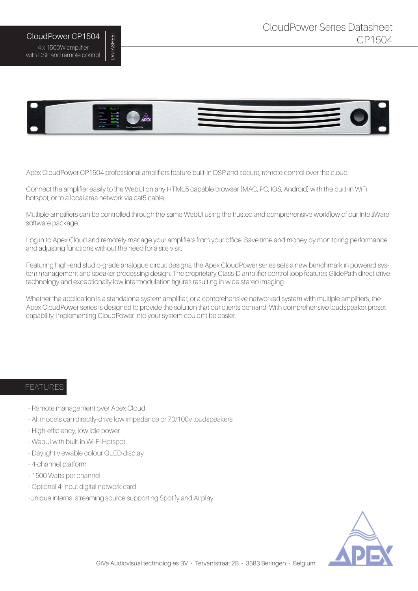## CloudPower CP1504 4 x 1500W amplifier with DSP and remote control

DATASHEET

**DATASHEET** 



Apex CloudPower CP1504 professional amplifiers feature built-in DSP and secure, remote control over the cloud.

Connect the amplifier easily to the WebUI on any HTML5 capable browser (MAC, PC, IOS, Android) with the built-in WiFi hotspot, or to a local area network via cat5 cable.

Multiple amplifiers can be controlled through the same WebUI using the trusted and comprehensive workflow of our IntelliWare software package.

Log in to Apex Cloud and remotely manage your amplifiers from your office. Save time and money by monitoring performance and adjusting functions without the need for a site visit.

Featuring high-end studio-grade analogue circuit designs, the Apex CloudPower series sets a new benchmark in powered system management and speaker processing design. The proprietary Class-D amplifier control loop features GlidePath direct drive technology and exceptionally low intermodulation figures resulting in wide stereo imaging.

Whether the application is a standalone system amplifier, or a comprehensive networked system with multiple amplifiers, the Apex CloudPower series is designed to provide the solution that our clients demand. With comprehensive loudspeaker preset capability, implementing CloudPower into your system couldn't be easier.

## FEATURES

- Remote management over Apex Cloud
- All models can directly-drive low impedance or 70/100v loudspeakers
- High-efficiency, low idle power
- WebUI with built-in Wi-Fi Hotspot.
- Daylight viewable colour OLED display
- 4-channel platform
- 1500 Watts per channel
- Optional 4-input digital network card
- -Unique internal streaming source supporting Spotify and Airplay

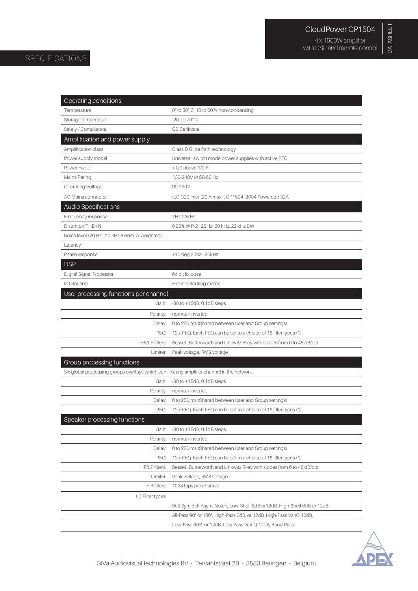DATASHEET

DATASHEET

| Operating conditions                                                                      |                                                                           |
|-------------------------------------------------------------------------------------------|---------------------------------------------------------------------------|
| Temperature                                                                               | 0° to 50° C, 10 to 60 % non-condensing                                    |
| Storage temperature                                                                       | -20° to 70° C                                                             |
| Safety / Compliance                                                                       | CB Cerificate                                                             |
| Amplification and power supply                                                            |                                                                           |
| Amplification class                                                                       | Class D Glide Path technology                                             |
| Power supply model                                                                        | Universal switch mode power supplies with active PFC                      |
| Power Factor                                                                              | > 0,9 above 1/2 P                                                         |
| Mains Rating                                                                              | 100-240V @ 50-60 Hz                                                       |
| <b>Operating Voltage</b>                                                                  | 90-260V                                                                   |
| AC Mains connector                                                                        | IEC C20 Inlet (20 A max), CP1504-3004 Powercon 32A                        |
| Audio Specifications                                                                      |                                                                           |
| Frequency response                                                                        | 1Hz-22kHz                                                                 |
| Distortion THD+N                                                                          | 0,05% @ P/2, 20Hz-20 kHz, 22 kHz BW                                       |
| Noise level (20 Hz - 20 kHz 8 ohm, A-weighted)                                            |                                                                           |
| Latency                                                                                   |                                                                           |
| Phase response                                                                            | $±10$ deg 20hz - 20kHz                                                    |
| <b>DSP</b>                                                                                |                                                                           |
| Digital Signal Processor                                                                  | 64 bit fix point                                                          |
| I/O Routing                                                                               | Flexible Routing matrix                                                   |
| User processing functions per channel                                                     |                                                                           |
| Gain:                                                                                     | $-80$ to $+15dB$ , 0, 1dB steps                                           |
| Polarity:                                                                                 | normal / inverted                                                         |
| Delay:                                                                                    | 0 to 250 ms (Shared between User and Group settings)                      |
| PEQ:                                                                                      | 12 x PEQ. Each PEQ can be set to a choice of 16 filter types (1)          |
| HP/LP filters:                                                                            | Bessel, Butterworth and Linkwitz Riley with slopes from 6 to 48 dB/oct    |
| Limiter:                                                                                  | Peak voltage, RMS voltage                                                 |
| Group processing functions                                                                |                                                                           |
| Six global processing groups overlays which can link any amplifier channel in the network |                                                                           |
| Gain:                                                                                     | $-80$ to $+15dB$ , 0, 1dB steps                                           |
| Polarity:                                                                                 | normal / inverted                                                         |
| Delay:                                                                                    | 0 to 250 ms (Shared between User and Group settings)                      |
| PEQ:                                                                                      | 12 x PEQ. Each PEQ can be set to a choice of 16 filter types (1)          |
| Speaker processing functions                                                              |                                                                           |
| Gain:                                                                                     | $-80$ to $+15dB$ , 0, 1dB steps                                           |
| Polarity:                                                                                 | normal / inverted                                                         |
| Delay:                                                                                    | 0 to 250 ms (Shared between User and Group settings)                      |
| PEQ:                                                                                      | 12 x PEQ. Each PEQ can be set to a choice of 16 filter types (1)          |
| HP/LP filters:                                                                            | Bessel, Butterworth and Linkwitz Riley with slopes from 6 to 48 dB/oct    |
| Limiter:                                                                                  | Peak voltage, RMS voltage                                                 |
| FIR filters:                                                                              | 1024 taps per channel                                                     |
| (1) Filter types:                                                                         |                                                                           |
|                                                                                           | Bell-Sym, Bell-Asym, Notch, Low-Shelf 6dB or 12dB, High-Shelf 6dB or 12dB |
|                                                                                           | All-Pass 90° or 180°, High-Pass 6dB, or 12dB, High-Pass VariQ 12dB,       |
|                                                                                           | Low-Pass 6dB or 12dB, Low-Pass Vari-Q 12dB, Band-Pass                     |
|                                                                                           |                                                                           |

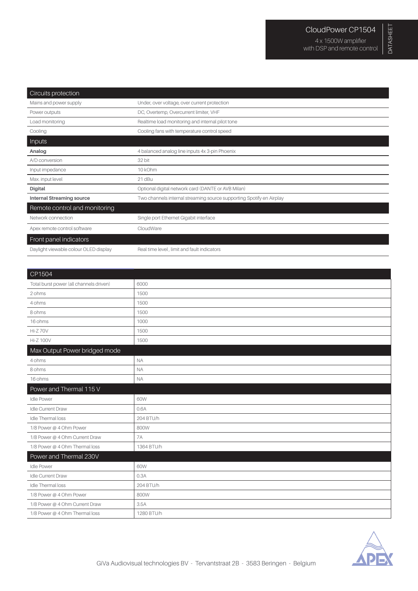| Circuits protection                   |                                                                      |
|---------------------------------------|----------------------------------------------------------------------|
| Mains and power supply                | Under, over voltage, over current protection                         |
| Power outputs                         | DC, Overtemp, Overcurrent limiter, VHF                               |
| Load monitoring                       | Realtime load monitoring and internal pilot tone                     |
| Cooling                               | Cooling fans with temperature control speed                          |
| Inputs                                |                                                                      |
| Analog                                | 4 balanced analog line inputs 4x 3-pin Phoenix                       |
| A/D conversion                        | 32 bit                                                               |
| Input impedance                       | 10 kOhm                                                              |
| Max. input level                      | 21 dBu                                                               |
| <b>Digital</b>                        | Optional digital network card (DANTE or AVB Milan)                   |
| <b>Internal Streaming source</b>      | Two channels internal streaming source supporting Spotify en Airplay |
| Remote control and monitoring         |                                                                      |
| Network connection                    | Single port Ethernet Gigabit interface                               |
| Apex remote control software          | CloudWare                                                            |
| Front panel indicators                |                                                                      |
| Daylight viewable colour OLED display | Real time level, limit and fault indicators                          |

| CP1504                                  |            |  |
|-----------------------------------------|------------|--|
| Total burst power (all channels driven) | 6000       |  |
| 2 ohms                                  | 1500       |  |
| 4 ohms                                  | 1500       |  |
| 8 ohms                                  | 1500       |  |
| 16 ohms                                 | 1000       |  |
| <b>Hi-Z70V</b>                          | 1500       |  |
| <b>Hi-Z 100V</b>                        | 1500       |  |
| Max Output Power bridged mode           |            |  |
| 4 ohms                                  | <b>NA</b>  |  |
| 8 ohms                                  | <b>NA</b>  |  |
| 16 ohms                                 | <b>NA</b>  |  |
| Power and Thermal 115 V                 |            |  |
| <b>Idle Power</b>                       | 60W        |  |
| <b>Idle Current Draw</b>                | 0.6A       |  |
| <b>Idle Thermal loss</b>                | 204 BTU/h  |  |
| 1/8 Power @ 4 Ohm Power                 | 800W       |  |
| 1/8 Power @ 4 Ohm Current Draw          | <b>7A</b>  |  |
| 1/8 Power @ 4 Ohm Thermal loss          | 1364 BTU/h |  |
| Power and Thermal 230V                  |            |  |
| <b>Idle Power</b>                       | 60W        |  |
| Idle Current Draw                       | 0.3A       |  |
| <b>Idle Thermal loss</b>                | 204 BTU/h  |  |
| 1/8 Power @ 4 Ohm Power                 | 800W       |  |
| 1/8 Power @ 4 Ohm Current Draw          | 3.5A       |  |
| 1/8 Power @ 4 Ohm Thermal loss          | 1280 BTU/h |  |